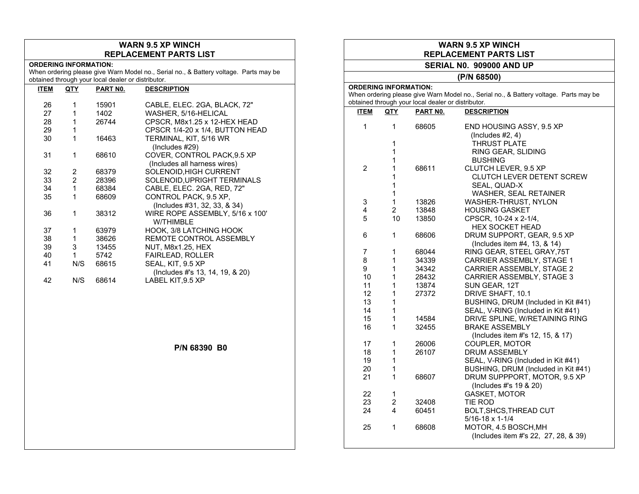## **WARN 9.5 XP WINCH REPLACEMENT PARTS LIST**

## **ORDERING INFORMATION:**

When ordering please give Warn Model no., Serial no., & Battery voltage. Parts may be obtained through your local dealer or distributor.

| ITEM | <u>QTY</u> | PART NO. | <b>DESCRIPTION</b>                                          |
|------|------------|----------|-------------------------------------------------------------|
| 26   | 1          | 15901    | CABLE, ELEC. 2GA, BLACK, 72"                                |
| 27   | 1          | 1402     | WASHER, 5/16-HELICAL                                        |
| 28   |            | 26744    | CPSCR, M8x1.25 x 12-HEX HEAD                                |
| 29   | 1          |          | CPSCR 1/4-20 x 1/4, BUTTON HEAD                             |
| 30   | 1          | 16463    | TERMINAL, KIT, 5/16 WR<br>$($ lncludes #29 $)$              |
| 31   | 1          | 68610    | COVER, CONTROL PACK, 9.5 XP<br>(Includes all harness wires) |
| 32   | 2          | 68379    | SOLENOID, HIGH CURRENT                                      |
| 33   | 2          | 28396    | SOLENOID, UPRIGHT TERMINALS                                 |
| 34   | 1          | 68384    | CABLE, ELEC. 2GA, RED, 72"                                  |
| 35   | 1          | 68609    | CONTROL PACK, 9.5 XP.                                       |
|      |            |          | (Includes #31, 32, 33, & 34)                                |
| 36   | 1          | 38312    | WIRE ROPE ASSEMBLY, 5/16 x 100'<br><b>W/THIMBLE</b>         |
| 37   | 1          | 63979    | HOOK, 3/8 LATCHING HOOK                                     |
| 38   | 1          | 38626    | <b>REMOTE CONTROL ASSEMBLY</b>                              |
| 39   | 3          | 13455    | NUT, M8x1.25, HEX                                           |
| 40   | 1          | 5742     | <b>FAIRLEAD, ROLLER</b>                                     |
| 41   | N/S        | 68615    | SEAL, KIT, 9.5 XP<br>(Includes #'s 13, 14, 19, & 20)        |
| 42   | N/S        | 68614    | LABEL KIT.9.5 XP                                            |

**P/N 68390 B0** 

## **WARN 9.5 XP WINCH REPLACEMENT PARTS LIST SERIAL N0. 909000 AND UP (P/N 68500) ORDERING INFORMATION:**  When ordering please give Warn Model no., Serial no., & Battery voltage. Parts may be obtained through your local dealer or distributor. **ITEM QTY PART N0. DESCRIPTION** 1 1 68605 END HOUSING ASSY, 9.5 XP (Includes #2, 4) 1 THRUST PLATE 1 RING GEAR, SLIDING 1 BUSHING 2 1 68611 CLUTCH LEVER, 9.5 XP 1 CLUTCH LEVER DETENT SCREW 1 SEAL, QUAD-X 1 WASHER, SEAL RETAINER 3 1 13826 WASHER-THRUST, NYLON 4 2 13848 HOUSING GASKET 5 10 13850 CPSCR, 10-24 x 2-1/4, HEX SOCKET HEAD 6 1 68606 DRUM SUPPORT, GEAR, 9.5 XP (Includes item #4, 13, & 14)<br>7. 68044 RING GEAR. STEEL GRAY.7 7 1 68044 RING GEAR, STEEL GRAY,75T 8 1 34339 CARRIER ASSEMBLY, STAGE 1<br>9 1 34342 CARRIER ASSEMBLY STAGE 2 1 34342 CARRIER ASSEMBLY, STAGE 2 10 1 28432 CARRIER ASSEMBLY, STAGE 3 11 1 13874 SUN GEAR, 12T 12 1 27372 DRIVE SHAFT, 10.1 13 1 1 BUSHING, DRUM (Included in Kit #41) 14 1 SEAL, V-RING (Included in Kit #41)<br>15 1 14584 DRIVE SPLINE. W/RETAINING RIN DRIVE SPLINE, W/RETAINING RING 16 1 32455 BRAKE ASSEMBLY (Includes item #'s 12, 15, & 17) 17 1 26006 COUPLER, MOTOR 1 26107 DRUM ASSEMBLY 19 1 1 SEAL, V-RING (Included in Kit #41)<br>20 1 1 BUSHING. DRUM (Included in Kit #4 1 BUSHING, DRUM (Included in Kit #41) 21 1 68607 DRUM SUPPPORT, MOTOR, 9.5 XP (Includes #'s 19 & 20) 22 1 GASKET, MOTOR<br>23 2 32408 TIE ROD 23 2 32408 TIE ROD 24 4 60451 BOLT,SHCS,THREAD CUT 5/16-18 x 1-1/4 25 1 68608 MOTOR, 4.5 BOSCH,MH

(Includes item #'s 22, 27, 28, & 39)